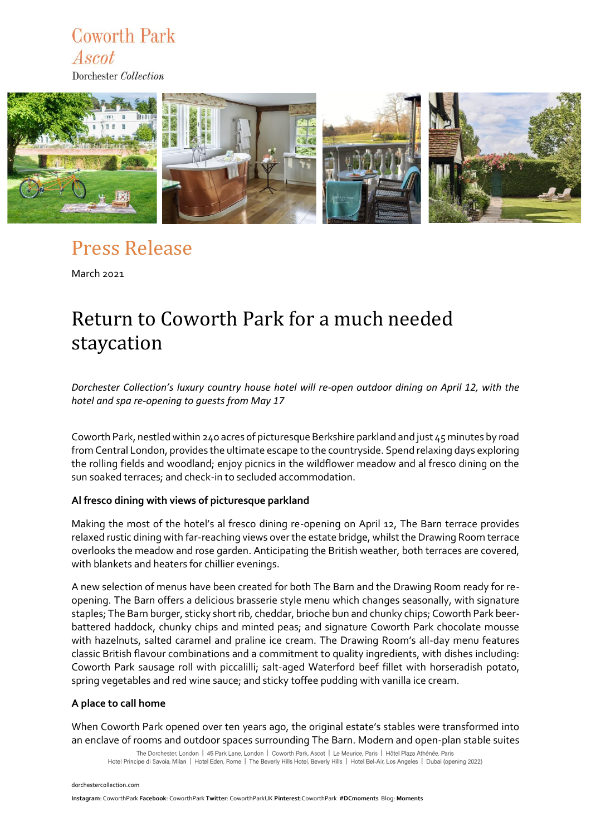## **Coworth Park** Ascot

Dorchester Collection



## Press Release

March 2021

# Return to Coworth Park for a much needed staycation

*Dorchester Collection's luxury country house hotel will re-open outdoor dining on April 12, with the hotel and spa re-opening to guests from May 17* 

Coworth Park, nestled within 240 acres of picturesque Berkshire parkland and just 45 minutes by road from Central London, provides the ultimate escape to the countryside. Spend relaxing days exploring the rolling fields and woodland; enjoy picnics in the wildflower meadow and al fresco dining on the sun soaked terraces; and check-in to secluded accommodation.

### **Al fresco dining with views of picturesque parkland**

Making the most of the hotel's al fresco dining re-opening on April 12, The Barn terrace provides relaxed rustic dining with far-reaching views over the estate bridge, whilst the Drawing Room terrace overlooks the meadow and rose garden. Anticipating the British weather, both terraces are covered, with blankets and heaters for chillier evenings.

A new selection of menus have been created for both The Barn and the Drawing Room ready for reopening. The Barn offers a delicious brasserie style menu which changes seasonally, with signature staples; The Barn burger, sticky short rib, cheddar, brioche bun and chunky chips; Coworth Park beerbattered haddock, chunky chips and minted peas; and signature Coworth Park chocolate mousse with hazelnuts, salted caramel and praline ice cream. The Drawing Room's all-day menu features classic British flavour combinations and a commitment to quality ingredients, with dishes including: Coworth Park sausage roll with piccalilli; salt-aged Waterford beef fillet with horseradish potato, spring vegetables and red wine sauce; and sticky toffee pudding with vanilla ice cream.

#### **A place to call home**

When Coworth Park opened over ten years ago, the original estate's stables were transformed into an enclave of rooms and outdoor spaces surrounding The Barn. Modern and open-plan stable suites

The Dorchester, London | 45 Park Lane, London | Coworth Park, Ascot | Le Meurice, Paris | Hôtel Plaza Athénée, Paris Hotel Principe di Savoia, Milan | Hotel Eden, Rome | The Beverly Hills Hotel, Beverly Hills | Hotel Bel-Air, Los Angeles | Dubai (opening 2022)

[dorchestercollection.com](http://www.dorchestercollection.com/)

**Instagram**[: CoworthPark](https://www.instagram.com/coworthpark/) **Facebook**: [CoworthPark](https://www.facebook.com/CoworthPark) **Twitter**[: CoworthParkUK](https://www.pinterest.co.uk/coworthpark) **Pinterest**:CoworthPark **#DCmoments** Blog: **[Moments](https://www.dorchestercollection.com/en/moments/)**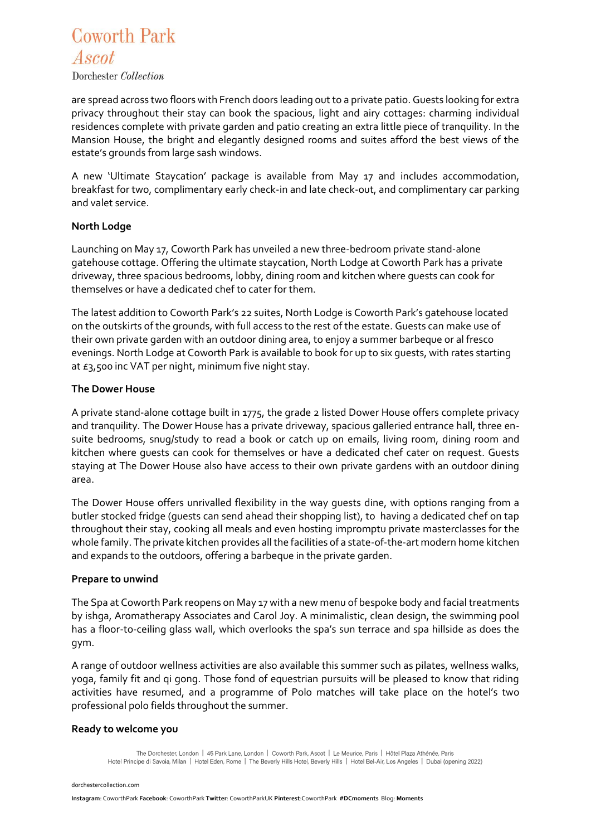## **Coworth Park** Ascot

Dorchester Collection

are spread across two floors with French doors leading out to a private patio. Guests looking for extra privacy throughout their stay can book the spacious, light and airy cottages: charming individual residences complete with private garden and patio creating an extra little piece of tranquility. In the Mansion House, the bright and elegantly designed rooms and suites afford the best views of the estate's grounds from large sash windows.

A new 'Ultimate Staycation' package is available from May 17 and includes accommodation, breakfast for two, complimentary early check-in and late check-out, and complimentary car parking and valet service.

### **North Lodge**

Launching on May 17, Coworth Park has unveiled a new three-bedroom private stand-alone gatehouse cottage. Offering the ultimate staycation, North Lodge at Coworth Park has a private driveway, three spacious bedrooms, lobby, dining room and kitchen where guests can cook for themselves or have a dedicated chef to cater for them.

The latest addition to Coworth Park's 22 suites, North Lodge is Coworth Park's gatehouse located on the outskirts of the grounds, with full access to the rest of the estate. Guests can make use of their own private garden with an outdoor dining area, to enjoy a summer barbeque or al fresco evenings. North Lodge at Coworth Park is available to book for up to six guests, with rates starting at  $E_3$ ,500 inc VAT per night, minimum five night stay.

### **The Dower House**

A private stand-alone cottage built in 1775, the grade 2 listed Dower House offers complete privacy and tranquility. The Dower House has a private driveway, spacious galleried entrance hall, three ensuite bedrooms, snug/study to read a book or catch up on emails, living room, dining room and kitchen where guests can cook for themselves or have a dedicated chef cater on request. Guests staying at The Dower House also have access to their own private gardens with an outdoor dining area.

The Dower House offers unrivalled flexibility in the way guests dine, with options ranging from a butler stocked fridge (guests can send ahead their shopping list), to having a dedicated chef on tap throughout their stay, cooking all meals and even hosting impromptu private masterclasses for the whole family. The private kitchen provides all the facilities of a state-of-the-art modern home kitchen and expands to the outdoors, offering a barbeque in the private garden.

#### **Prepare to unwind**

The Spa at Coworth Park reopens on May 17 with a new menu of bespoke body and facial treatments by ishga, Aromatherapy Associates and Carol Joy. A minimalistic, clean design, the swimming pool has a floor-to-ceiling glass wall, which overlooks the spa's sun terrace and spa hillside as does the gym.

A range of outdoor wellness activities are also available this summer such as pilates, wellness walks, yoga, family fit and qi gong. Those fond of equestrian pursuits will be pleased to know that riding activities have resumed, and a programme of Polo matches will take place on the hotel's two professional polo fields throughout the summer.

### **Ready to welcome you**

The Dorchester, London | 45 Park Lane, London | Coworth Park, Ascot | Le Meurice, Paris | Hôtel Plaza Athénée, Paris Hotel Principe di Savoia, Milan | Hotel Eden, Rome | The Beverly Hills Hotel, Beverly Hills | Hotel Bel-Air, Los Angeles | Dubai (opening 2022)

[dorchestercollection.com](http://www.dorchestercollection.com/)